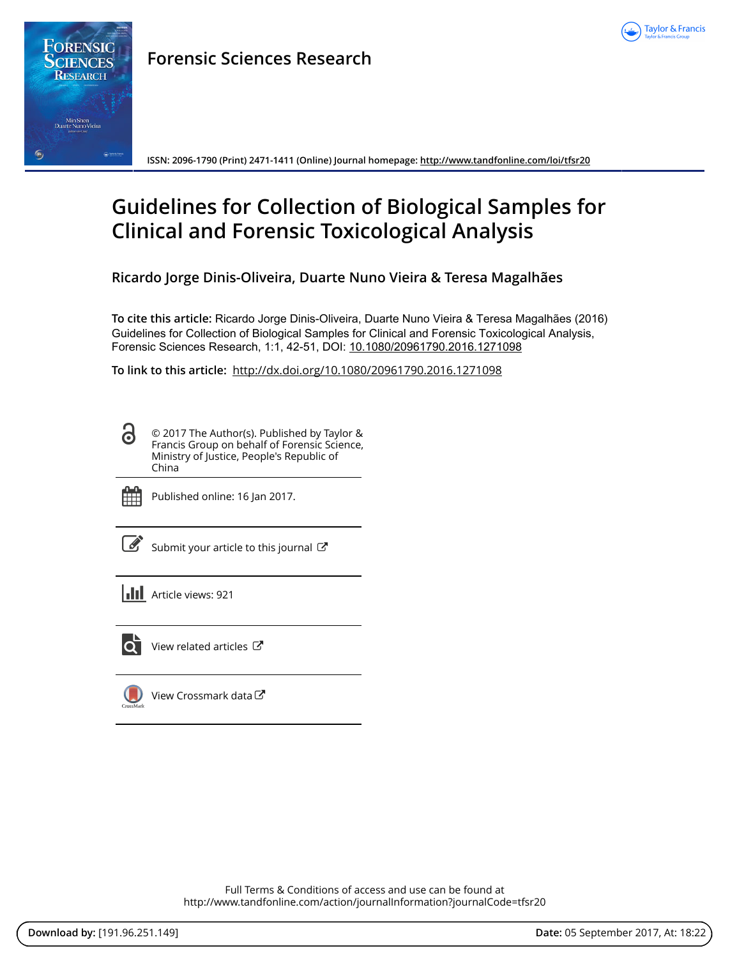

**ISSN: 2096-1790 (Print) 2471-1411 (Online) Journal homepage:<http://www.tandfonline.com/loi/tfsr20>**

# **Guidelines for Collection of Biological Samples for Clinical and Forensic Toxicological Analysis**

**Ricardo Jorge Dinis-Oliveira, Duarte Nuno Vieira & Teresa Magalhães**

**To cite this article:** Ricardo Jorge Dinis-Oliveira, Duarte Nuno Vieira & Teresa Magalhães (2016) Guidelines for Collection of Biological Samples for Clinical and Forensic Toxicological Analysis, Forensic Sciences Research, 1:1, 42-51, DOI: [10.1080/20961790.2016.1271098](http://www.tandfonline.com/action/showCitFormats?doi=10.1080/20961790.2016.1271098)

**To link to this article:** <http://dx.doi.org/10.1080/20961790.2016.1271098>

© 2017 The Author(s). Published by Taylor & Francis Group on behalf of Forensic Science, Ministry of Justice, People's Republic of China



<u>යි</u>

Published online: 16 Jan 2017.

| ۰. |
|----|
|----|

[Submit your article to this journal](http://www.tandfonline.com/action/authorSubmission?journalCode=tfsr20&show=instructions)  $\mathbb{Z}$ 

**III** Article views: 921



[View related articles](http://www.tandfonline.com/doi/mlt/10.1080/20961790.2016.1271098)  $C$ 

[View Crossmark data](http://crossmark.crossref.org/dialog/?doi=10.1080/20961790.2016.1271098&domain=pdf&date_stamp=2017-01-16)

Full Terms & Conditions of access and use can be found at <http://www.tandfonline.com/action/journalInformation?journalCode=tfsr20>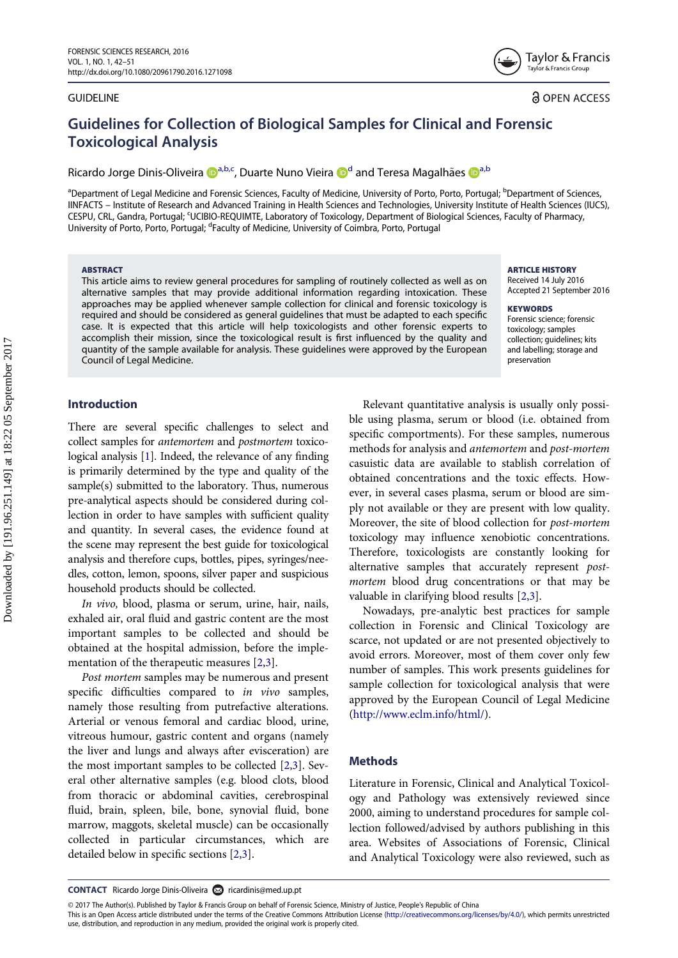#### **GUIDELINE**

Taylor & Francis Tavlor & Francis Group

**a** OPEN ACCESS

# Guidelines for Collection of Biological Samples for Clinical and Forensic Toxicological Analysis

Ricardo Jorge Dinis-Oliveira D<sup>[a,b](#page-1-0)[,c](#page-1-1)</sup>, Du[a](http://orcid.org/0000-0002-7366-6765)rte Nuno Vieira D<sup>[d](#page-1-2)</sup> and Teresa Magalhães D<sup>a,b</sup>

<span id="page-1-2"></span><span id="page-1-1"></span><span id="page-1-0"></span><sup>a</sup>Department of Legal Medicine and Forensic Sciences, Faculty of Medicine, University of Porto, Porto, Portugal; <sup>b</sup>Department of Sciences, IINFACTS – Institute of Research and Advanced Training in Health Sciences and Technologies, University Institute of Health Sciences (IUCS), CESPU, CRL, Gandra, Portugal; <sup>c</sup>UCIBIO-REQUIMTE, Laboratory of Toxicology, Department of Biological Sciences, Faculty of Pharmacy, University of Porto, Porto, Portugal; <sup>d</sup>Faculty of Medicine, University of Coimbra, Porto, Portugal

#### ABSTRACT

This article aims to review general procedures for sampling of routinely collected as well as on alternative samples that may provide additional information regarding intoxication. These approaches may be applied whenever sample collection for clinical and forensic toxicology is required and should be considered as general guidelines that must be adapted to each specific case. It is expected that this article will help toxicologists and other forensic experts to accomplish their mission, since the toxicological result is first influenced by the quality and quantity of the sample available for analysis. These guidelines were approved by the European Council of Legal Medicine.

#### **ARTICLE HISTORY** Received 14 July 2016

Accepted 21 September 2016

**KEYWORDS** Forensic science; forensic toxicology; samples collection; guidelines; kits and labelling; storage and preservation

# Introduction

<span id="page-1-3"></span>There are several specific challenges to select and collect samples for antemortem and postmortem toxicological analysis [\[1\]](#page-9-0). Indeed, the relevance of any finding is primarily determined by the type and quality of the sample(s) submitted to the laboratory. Thus, numerous pre-analytical aspects should be considered during collection in order to have samples with sufficient quality and quantity. In several cases, the evidence found at the scene may represent the best guide for toxicological analysis and therefore cups, bottles, pipes, syringes/needles, cotton, lemon, spoons, silver paper and suspicious household products should be collected.

<span id="page-1-4"></span>In vivo, blood, plasma or serum, urine, hair, nails, exhaled air, oral fluid and gastric content are the most important samples to be collected and should be obtained at the hospital admission, before the implementation of the therapeutic measures [[2,](#page-9-1)[3](#page-9-2)].

Post mortem samples may be numerous and present specific difficulties compared to in vivo samples, namely those resulting from putrefactive alterations. Arterial or venous femoral and cardiac blood, urine, vitreous humour, gastric content and organs (namely the liver and lungs and always after evisceration) are the most important samples to be collected [[2](#page-9-1),[3\]](#page-9-2). Several other alternative samples (e.g. blood clots, blood from thoracic or abdominal cavities, cerebrospinal fluid, brain, spleen, bile, bone, synovial fluid, bone marrow, maggots, skeletal muscle) can be occasionally collected in particular circumstances, which detailed below in specific sections [\[2](#page-9-1)[,3](#page-9-2)].

Relevant quantitative analysis is usually only possible using plasma, serum or blood (i.e. obtained from specific comportments). For these samples, numerous methods for analysis and antemortem and post-mortem casuistic data are available to stablish correlation of obtained concentrations and the toxic effects. However, in several cases plasma, serum or blood are simply not available or they are present with low quality. Moreover, the site of blood collection for post-mortem toxicology may influence xenobiotic concentrations. Therefore, toxicologists are constantly looking for alternative samples that accurately represent postmortem blood drug concentrations or that may be valuable in clarifying blood results [[2,](#page-9-1)[3\]](#page-9-2).

Nowadays, pre-analytic best practices for sample collection in Forensic and Clinical Toxicology are scarce, not updated or are not presented objectively to avoid errors. Moreover, most of them cover only few number of samples. This work presents guidelines for sample collection for toxicological analysis that were approved by the European Council of Legal Medicine [\(http://www.eclm.info/html/](http://www.eclm.info/html/)).

#### **Methods**

Literature in Forensic, Clinical and Analytical Toxicology and Pathology was extensively reviewed since 2000, aiming to understand procedures for sample collection followed/advised by authors publishing in this area. Websites of Associations of Forensic, Clinical and Analytical Toxicology were also reviewed, such as

CONTACT Ricardo Jorge Dinis-Oliveira a [ricardinis@med.up.pt](mailto:ricardinis@med.up.pt)

© 2017 The Author(s). Published by Taylor & Francis Group on behalf of Forensic Science, Ministry of Justice, People's Republic of China

This is an Open Access article distributed under the terms of the Creative Commons Attribution License ([http://creativecommons.org/licenses/by/4.0/\)](http://creativecommons.org/licenses/by/4.0/), which permits unrestricted use, distribution, and reproduction in any medium, provided the original work is properly cited.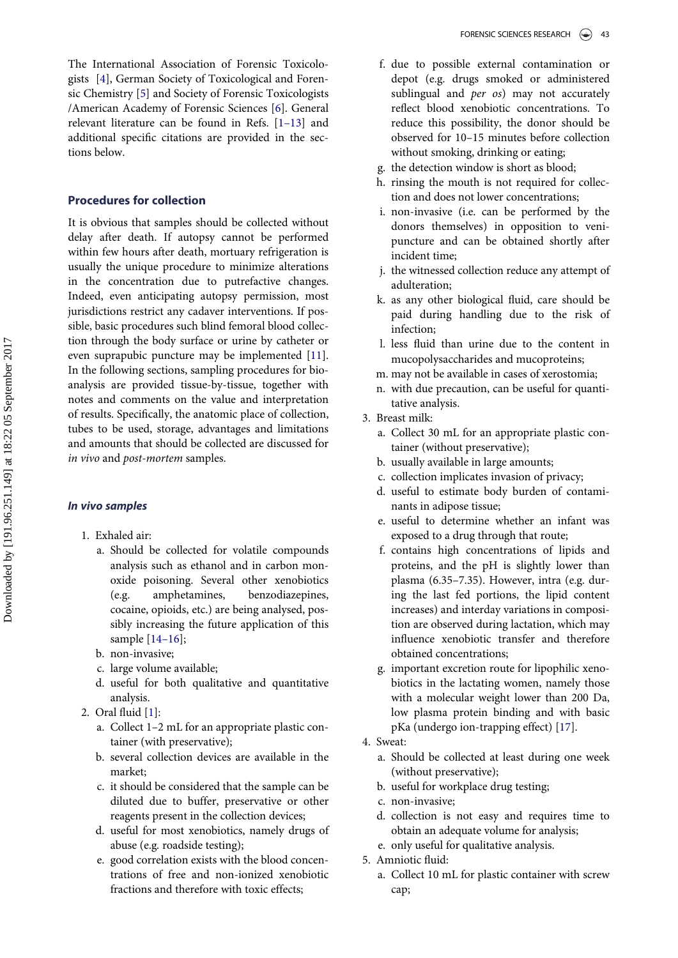<span id="page-2-2"></span><span id="page-2-1"></span><span id="page-2-0"></span>The International Association of Forensic Toxicologists [[4\]](#page-9-3), German Society of Toxicological and Forensic Chemistry [\[5](#page-9-4)] and Society of Forensic Toxicologists /American Academy of Forensic Sciences [[6\]](#page-9-5). General relevant literature can be found in Refs. [1–[13\]](#page-9-0) and additional specific citations are provided in the sections below.

#### Procedures for collection

<span id="page-2-3"></span>It is obvious that samples should be collected without delay after death. If autopsy cannot be performed within few hours after death, mortuary refrigeration is usually the unique procedure to minimize alterations in the concentration due to putrefactive changes. Indeed, even anticipating autopsy permission, most jurisdictions restrict any cadaver interventions. If possible, basic procedures such blind femoral blood collection through the body surface or urine by catheter or even suprapubic puncture may be implemented [[11\]](#page-9-6). In the following sections, sampling procedures for bioanalysis are provided tissue-by-tissue, together with notes and comments on the value and interpretation of results. Specifically, the anatomic place of collection, tubes to be used, storage, advantages and limitations and amounts that should be collected are discussed for in vivo and post-mortem samples.

## In vivo samples

- 1. Exhaled air:
	- a. Should be collected for volatile compounds analysis such as ethanol and in carbon monoxide poisoning. Several other xenobiotics (e.g. amphetamines, benzodiazepines, cocaine, opioids, etc.) are being analysed, possibly increasing the future application of this sample [14–[16\]](#page-9-7);
	- b. non-invasive;
	- c. large volume available;
	- d. useful for both qualitative and quantitative analysis.
- <span id="page-2-5"></span><span id="page-2-4"></span>2. Oral fluid [\[1](#page-9-0)]:
	- a. Collect 1–2 mL for an appropriate plastic container (with preservative);
	- b. several collection devices are available in the market;
	- c. it should be considered that the sample can be diluted due to buffer, preservative or other reagents present in the collection devices;
	- d. useful for most xenobiotics, namely drugs of abuse (e.g. roadside testing);
	- e. good correlation exists with the blood concentrations of free and non-ionized xenobiotic fractions and therefore with toxic effects;
- f. due to possible external contamination or depot (e.g. drugs smoked or administered sublingual and *per os*) may not accurately reflect blood xenobiotic concentrations. To reduce this possibility, the donor should be observed for 10–15 minutes before collection without smoking, drinking or eating;
- g. the detection window is short as blood;
- h. rinsing the mouth is not required for collection and does not lower concentrations;
- i. non-invasive (i.e. can be performed by the donors themselves) in opposition to venipuncture and can be obtained shortly after incident time;
- j. the witnessed collection reduce any attempt of adulteration;
- k. as any other biological fluid, care should be paid during handling due to the risk of infection;
- l. less fluid than urine due to the content in mucopolysaccharides and mucoproteins;
- m. may not be available in cases of xerostomia;
- n. with due precaution, can be useful for quantitative analysis.
- 3. Breast milk:
	- a. Collect 30 mL for an appropriate plastic container (without preservative);
	- b. usually available in large amounts;
	- c. collection implicates invasion of privacy;
	- d. useful to estimate body burden of contaminants in adipose tissue;
	- e. useful to determine whether an infant was exposed to a drug through that route;
	- f. contains high concentrations of lipids and proteins, and the pH is slightly lower than plasma (6.35–7.35). However, intra (e.g. during the last fed portions, the lipid content increases) and interday variations in composition are observed during lactation, which may influence xenobiotic transfer and therefore obtained concentrations;
	- g. important excretion route for lipophilic xenobiotics in the lactating women, namely those with a molecular weight lower than 200 Da, low plasma protein binding and with basic pKa (undergo ion-trapping effect) [\[17](#page-10-0)].
- 4. Sweat:
	- a. Should be collected at least during one week (without preservative);
	- b. useful for workplace drug testing;
	- c. non-invasive;
	- d. collection is not easy and requires time to obtain an adequate volume for analysis;
	- e. only useful for qualitative analysis.
- 5. Amniotic fluid:
	- a. Collect 10 mL for plastic container with screw cap;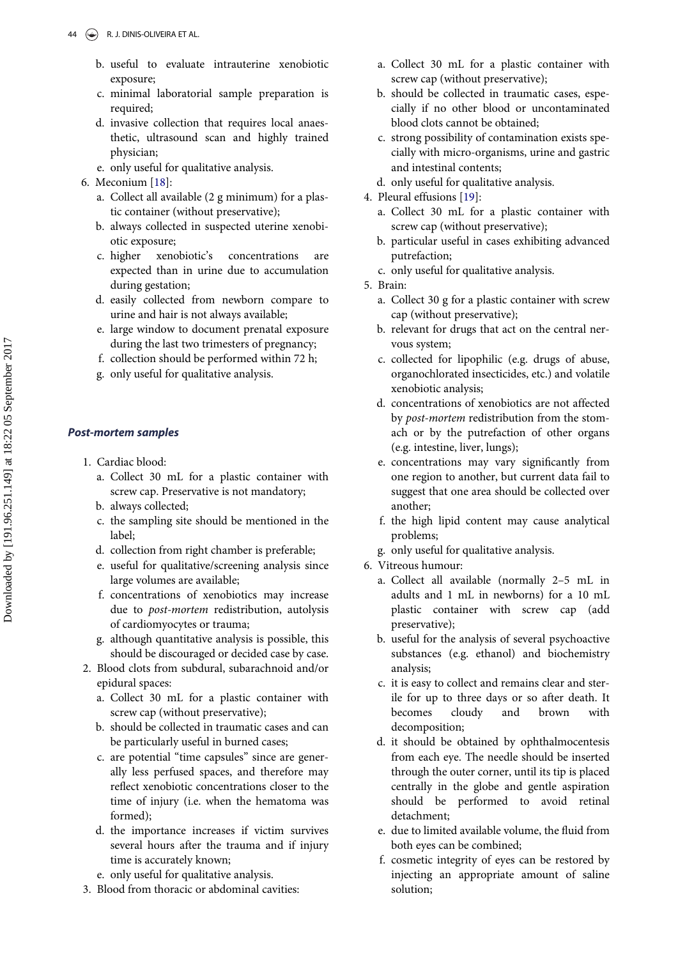- b. useful to evaluate intrauterine xenobiotic exposure;
- c. minimal laboratorial sample preparation is required;
- d. invasive collection that requires local anaesthetic, ultrasound scan and highly trained physician;
- e. only useful for qualitative analysis.
- <span id="page-3-1"></span><span id="page-3-0"></span>6. Meconium [\[18](#page-10-1)]:
	- a. Collect all available (2 g minimum) for a plastic container (without preservative);
	- b. always collected in suspected uterine xenobiotic exposure;
	- c. higher xenobiotic's concentrations are expected than in urine due to accumulation during gestation;
	- d. easily collected from newborn compare to urine and hair is not always available;
	- e. large window to document prenatal exposure during the last two trimesters of pregnancy;
	- f. collection should be performed within 72 h;
	- g. only useful for qualitative analysis.

# Post-mortem samples

- 1. Cardiac blood:
	- a. Collect 30 mL for a plastic container with screw cap. Preservative is not mandatory;
	- b. always collected;
	- c. the sampling site should be mentioned in the label;
	- d. collection from right chamber is preferable;
	- e. useful for qualitative/screening analysis since large volumes are available;
	- f. concentrations of xenobiotics may increase due to *post-mortem* redistribution, autolysis of cardiomyocytes or trauma;
	- g. although quantitative analysis is possible, this should be discouraged or decided case by case.
- 2. Blood clots from subdural, subarachnoid and/or epidural spaces:
	- a. Collect 30 mL for a plastic container with screw cap (without preservative);
	- b. should be collected in traumatic cases and can be particularly useful in burned cases;
	- c. are potential "time capsules" since are generally less perfused spaces, and therefore may reflect xenobiotic concentrations closer to the time of injury (i.e. when the hematoma was formed);
	- d. the importance increases if victim survives several hours after the trauma and if injury time is accurately known;
	- e. only useful for qualitative analysis.
- 3. Blood from thoracic or abdominal cavities:
- a. Collect 30 mL for a plastic container with screw cap (without preservative);
- b. should be collected in traumatic cases, especially if no other blood or uncontaminated blood clots cannot be obtained;
- c. strong possibility of contamination exists specially with micro-organisms, urine and gastric and intestinal contents;
- d. only useful for qualitative analysis.
- 4. Pleural effusions [[19\]](#page-10-2):
	- a. Collect 30 mL for a plastic container with screw cap (without preservative);
	- b. particular useful in cases exhibiting advanced putrefaction;
	- c. only useful for qualitative analysis.
- 5. Brain:
	- a. Collect 30 g for a plastic container with screw cap (without preservative);
	- b. relevant for drugs that act on the central nervous system;
	- c. collected for lipophilic (e.g. drugs of abuse, organochlorated insecticides, etc.) and volatile xenobiotic analysis;
	- d. concentrations of xenobiotics are not affected by post-mortem redistribution from the stomach or by the putrefaction of other organs (e.g. intestine, liver, lungs);
	- e. concentrations may vary significantly from one region to another, but current data fail to suggest that one area should be collected over another;
	- f. the high lipid content may cause analytical problems;
	- g. only useful for qualitative analysis.
- 6. Vitreous humour:
	- a. Collect all available (normally 2–5 mL in adults and 1 mL in newborns) for a 10 mL plastic container with screw cap (add preservative);
	- b. useful for the analysis of several psychoactive substances (e.g. ethanol) and biochemistry analysis;
	- c. it is easy to collect and remains clear and sterile for up to three days or so after death. It becomes cloudy and brown with decomposition;
	- d. it should be obtained by ophthalmocentesis from each eye. The needle should be inserted through the outer corner, until its tip is placed centrally in the globe and gentle aspiration should be performed to avoid retinal detachment;
	- e. due to limited available volume, the fluid from both eyes can be combined;
	- f. cosmetic integrity of eyes can be restored by injecting an appropriate amount of saline solution;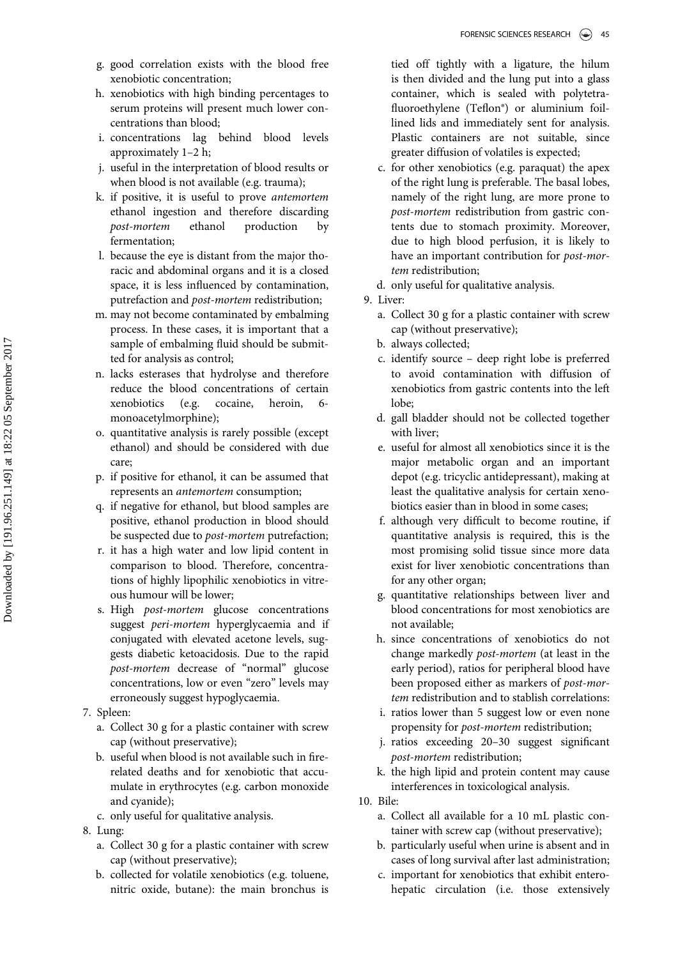- g. good correlation exists with the blood free xenobiotic concentration;
- h. xenobiotics with high binding percentages to serum proteins will present much lower concentrations than blood;
- i. concentrations lag behind blood levels approximately 1–2 h;
- j. useful in the interpretation of blood results or when blood is not available (e.g. trauma);
- k. if positive, it is useful to prove antemortem ethanol ingestion and therefore discarding post-mortem ethanol production by fermentation;
- l. because the eye is distant from the major thoracic and abdominal organs and it is a closed space, it is less influenced by contamination, putrefaction and post-mortem redistribution;
- m. may not become contaminated by embalming process. In these cases, it is important that a sample of embalming fluid should be submitted for analysis as control;
- n. lacks esterases that hydrolyse and therefore reduce the blood concentrations of certain xenobiotics (e.g. cocaine, heroin, 6 monoacetylmorphine);
- o. quantitative analysis is rarely possible (except ethanol) and should be considered with due care;
- p. if positive for ethanol, it can be assumed that represents an antemortem consumption;
- q. if negative for ethanol, but blood samples are positive, ethanol production in blood should be suspected due to *post-mortem* putrefaction;
- r. it has a high water and low lipid content in comparison to blood. Therefore, concentrations of highly lipophilic xenobiotics in vitreous humour will be lower;
- s. High *post-mortem* glucose concentrations suggest peri-mortem hyperglycaemia and if conjugated with elevated acetone levels, suggests diabetic ketoacidosis. Due to the rapid post-mortem decrease of "normal" glucose concentrations, low or even "zero" levels may erroneously suggest hypoglycaemia.
- 7. Spleen:
	- a. Collect 30 g for a plastic container with screw cap (without preservative);
	- b. useful when blood is not available such in firerelated deaths and for xenobiotic that accumulate in erythrocytes (e.g. carbon monoxide and cyanide);
	- c. only useful for qualitative analysis.
- 8. Lung:
	- a. Collect 30 g for a plastic container with screw cap (without preservative);
	- b. collected for volatile xenobiotics (e.g. toluene, nitric oxide, butane): the main bronchus is

tied off tightly with a ligature, the hilum is then divided and the lung put into a glass container, which is sealed with polytetrafluoroethylene (Teflon®) or aluminium foillined lids and immediately sent for analysis. Plastic containers are not suitable, since greater diffusion of volatiles is expected;

c. for other xenobiotics (e.g. paraquat) the apex of the right lung is preferable. The basal lobes, namely of the right lung, are more prone to post-mortem redistribution from gastric contents due to stomach proximity. Moreover, due to high blood perfusion, it is likely to have an important contribution for *post-mor*tem redistribution;

d. only useful for qualitative analysis.

- 9. Liver:
	- a. Collect 30 g for a plastic container with screw cap (without preservative);
	- b. always collected;
	- c. identify source deep right lobe is preferred to avoid contamination with diffusion of xenobiotics from gastric contents into the left lobe;
	- d. gall bladder should not be collected together with liver;
	- e. useful for almost all xenobiotics since it is the major metabolic organ and an important depot (e.g. tricyclic antidepressant), making at least the qualitative analysis for certain xenobiotics easier than in blood in some cases;
	- f. although very difficult to become routine, if quantitative analysis is required, this is the most promising solid tissue since more data exist for liver xenobiotic concentrations than for any other organ;
	- g. quantitative relationships between liver and blood concentrations for most xenobiotics are not available;
	- h. since concentrations of xenobiotics do not change markedly post-mortem (at least in the early period), ratios for peripheral blood have been proposed either as markers of post-mortem redistribution and to stablish correlations:
	- i. ratios lower than 5 suggest low or even none propensity for post-mortem redistribution;
	- j. ratios exceeding 20–30 suggest significant post-mortem redistribution;
	- k. the high lipid and protein content may cause interferences in toxicological analysis.
- 10. Bile:
	- a. Collect all available for a 10 mL plastic container with screw cap (without preservative);
	- b. particularly useful when urine is absent and in cases of long survival after last administration;
	- c. important for xenobiotics that exhibit enterohepatic circulation (i.e. those extensively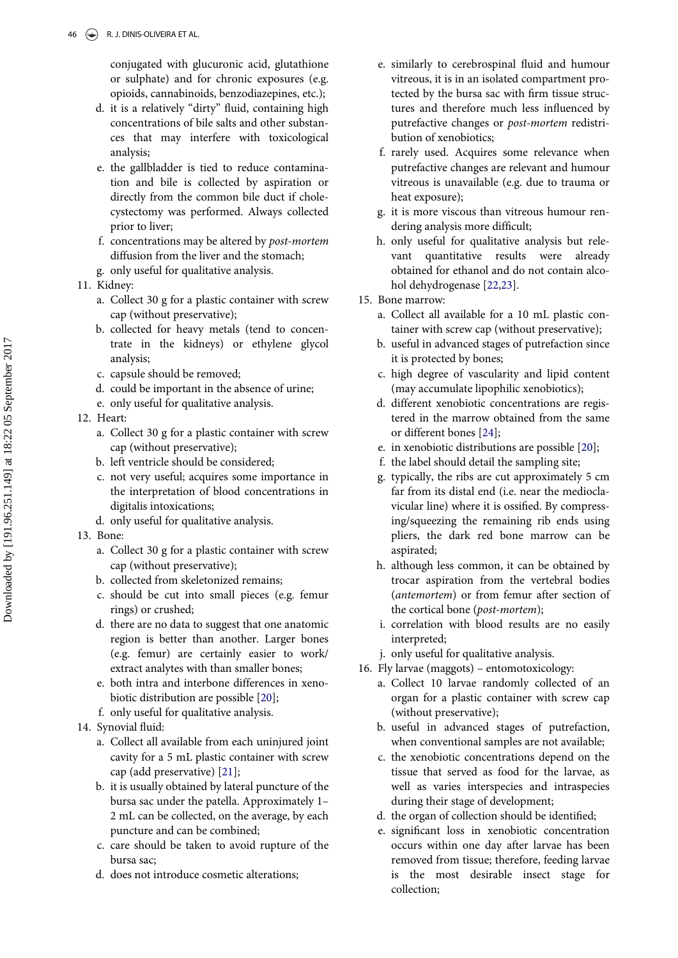conjugated with glucuronic acid, glutathione or sulphate) and for chronic exposures (e.g. opioids, cannabinoids, benzodiazepines, etc.);

- d. it is a relatively "dirty" fluid, containing high concentrations of bile salts and other substances that may interfere with toxicological analysis;
- e. the gallbladder is tied to reduce contamination and bile is collected by aspiration or directly from the common bile duct if cholecystectomy was performed. Always collected prior to liver;
- f. concentrations may be altered by post-mortem diffusion from the liver and the stomach;
- g. only useful for qualitative analysis.
- <span id="page-5-2"></span>11. Kidney:
	- a. Collect 30 g for a plastic container with screw cap (without preservative);
	- b. collected for heavy metals (tend to concentrate in the kidneys) or ethylene glycol analysis;
	- c. capsule should be removed;
	- d. could be important in the absence of urine;
	- e. only useful for qualitative analysis.
- <span id="page-5-3"></span><span id="page-5-0"></span>12. Heart:
	- a. Collect 30 g for a plastic container with screw cap (without preservative);
	- b. left ventricle should be considered;
	- c. not very useful; acquires some importance in the interpretation of blood concentrations in digitalis intoxications;
	- d. only useful for qualitative analysis.
- 13. Bone:
	- a. Collect 30 g for a plastic container with screw cap (without preservative);
	- b. collected from skeletonized remains;
	- c. should be cut into small pieces (e.g. femur rings) or crushed;
	- d. there are no data to suggest that one anatomic region is better than another. Larger bones (e.g. femur) are certainly easier to work/ extract analytes with than smaller bones;
	- e. both intra and interbone differences in xenobiotic distribution are possible [[20\]](#page-10-3);
	- f. only useful for qualitative analysis.
- <span id="page-5-1"></span>14. Synovial fluid:
	- a. Collect all available from each uninjured joint cavity for a 5 mL plastic container with screw cap (add preservative) [[21\]](#page-10-4);
	- b. it is usually obtained by lateral puncture of the bursa sac under the patella. Approximately 1– 2 mL can be collected, on the average, by each puncture and can be combined;
	- c. care should be taken to avoid rupture of the bursa sac;
	- d. does not introduce cosmetic alterations;
- e. similarly to cerebrospinal fluid and humour vitreous, it is in an isolated compartment protected by the bursa sac with firm tissue structures and therefore much less influenced by putrefactive changes or post-mortem redistribution of xenobiotics;
- f. rarely used. Acquires some relevance when putrefactive changes are relevant and humour vitreous is unavailable (e.g. due to trauma or heat exposure);
- g. it is more viscous than vitreous humour rendering analysis more difficult;
- h. only useful for qualitative analysis but relevant quantitative results were already obtained for ethanol and do not contain alcohol dehydrogenase [[22,](#page-10-5)[23](#page-10-6)].
- 15. Bone marrow:
	- a. Collect all available for a 10 mL plastic container with screw cap (without preservative);
	- b. useful in advanced stages of putrefaction since it is protected by bones;
	- c. high degree of vascularity and lipid content (may accumulate lipophilic xenobiotics);
	- d. different xenobiotic concentrations are registered in the marrow obtained from the same or different bones [[24\]](#page-10-7);
	- e. in xenobiotic distributions are possible [[20\]](#page-10-3);
	- f. the label should detail the sampling site;
	- g. typically, the ribs are cut approximately 5 cm far from its distal end (i.e. near the medioclavicular line) where it is ossified. By compressing/squeezing the remaining rib ends using pliers, the dark red bone marrow can be aspirated;
	- h. although less common, it can be obtained by trocar aspiration from the vertebral bodies (antemortem) or from femur after section of the cortical bone (post-mortem);
	- i. correlation with blood results are no easily interpreted;
	- j. only useful for qualitative analysis.
- 16. Fly larvae (maggots) entomotoxicology:
	- a. Collect 10 larvae randomly collected of an organ for a plastic container with screw cap (without preservative);
	- b. useful in advanced stages of putrefaction, when conventional samples are not available;
	- c. the xenobiotic concentrations depend on the tissue that served as food for the larvae, as well as varies interspecies and intraspecies during their stage of development;
	- d. the organ of collection should be identified;
	- e. significant loss in xenobiotic concentration occurs within one day after larvae has been removed from tissue; therefore, feeding larvae is the most desirable insect stage for collection;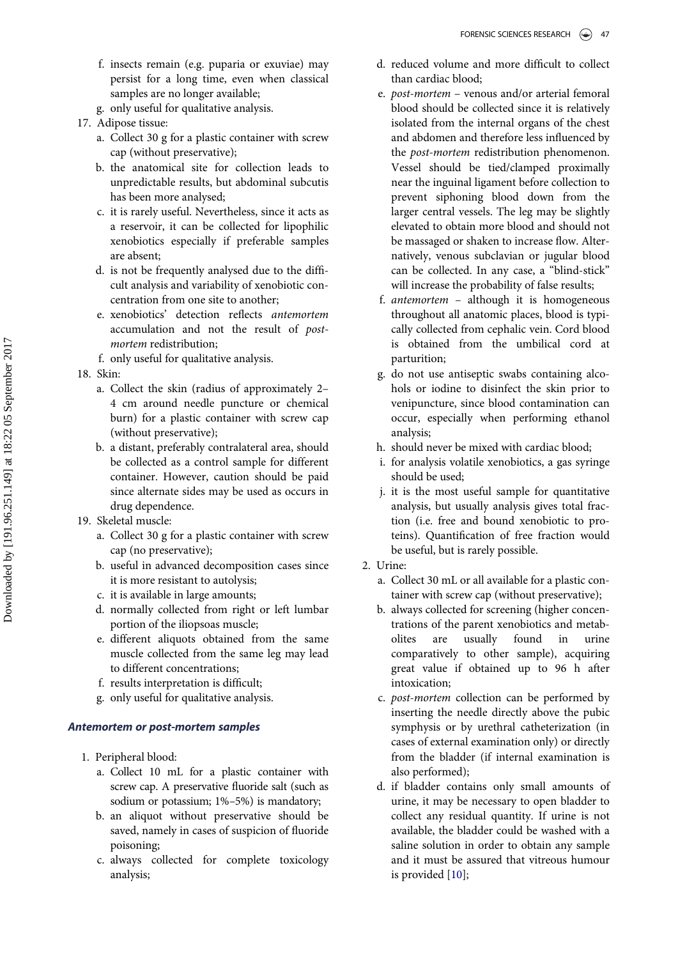- f. insects remain (e.g. puparia or exuviae) may persist for a long time, even when classical samples are no longer available;
- g. only useful for qualitative analysis.
- 17. Adipose tissue:
	- a. Collect 30 g for a plastic container with screw cap (without preservative);
	- b. the anatomical site for collection leads to unpredictable results, but abdominal subcutis has been more analysed;
	- c. it is rarely useful. Nevertheless, since it acts as a reservoir, it can be collected for lipophilic xenobiotics especially if preferable samples are absent;
	- d. is not be frequently analysed due to the difficult analysis and variability of xenobiotic concentration from one site to another;
	- e. xenobiotics' detection reflects antemortem accumulation and not the result of postmortem redistribution;
	- f. only useful for qualitative analysis.
- 18. Skin:
	- a. Collect the skin (radius of approximately 2– 4 cm around needle puncture or chemical burn) for a plastic container with screw cap (without preservative);
	- b. a distant, preferably contralateral area, should be collected as a control sample for different container. However, caution should be paid since alternate sides may be used as occurs in drug dependence.
- 19. Skeletal muscle:
	- a. Collect 30 g for a plastic container with screw cap (no preservative);
	- b. useful in advanced decomposition cases since it is more resistant to autolysis;
	- c. it is available in large amounts;
	- d. normally collected from right or left lumbar portion of the iliopsoas muscle;
	- e. different aliquots obtained from the same muscle collected from the same leg may lead to different concentrations;
	- f. results interpretation is difficult;
	- g. only useful for qualitative analysis.

# Antemortem or post-mortem samples

- <span id="page-6-0"></span>1. Peripheral blood:
	- a. Collect 10 mL for a plastic container with screw cap. A preservative fluoride salt (such as sodium or potassium; 1%–5%) is mandatory;
	- b. an aliquot without preservative should be saved, namely in cases of suspicion of fluoride poisoning;
	- c. always collected for complete toxicology analysis;
- d. reduced volume and more difficult to collect than cardiac blood;
- e. post-mortem venous and/or arterial femoral blood should be collected since it is relatively isolated from the internal organs of the chest and abdomen and therefore less influenced by the post-mortem redistribution phenomenon. Vessel should be tied/clamped proximally near the inguinal ligament before collection to prevent siphoning blood down from the larger central vessels. The leg may be slightly elevated to obtain more blood and should not be massaged or shaken to increase flow. Alternatively, venous subclavian or jugular blood can be collected. In any case, a "blind-stick" will increase the probability of false results;
- f. antemortem although it is homogeneous throughout all anatomic places, blood is typically collected from cephalic vein. Cord blood is obtained from the umbilical cord at parturition;
- g. do not use antiseptic swabs containing alcohols or iodine to disinfect the skin prior to venipuncture, since blood contamination can occur, especially when performing ethanol analysis;
- h. should never be mixed with cardiac blood;
- i. for analysis volatile xenobiotics, a gas syringe should be used;
- j. it is the most useful sample for quantitative analysis, but usually analysis gives total fraction (i.e. free and bound xenobiotic to proteins). Quantification of free fraction would be useful, but is rarely possible.
- 2. Urine:
	- a. Collect 30 mL or all available for a plastic container with screw cap (without preservative);
	- b. always collected for screening (higher concentrations of the parent xenobiotics and metabolites are usually found in urine comparatively to other sample), acquiring great value if obtained up to 96 h after intoxication;
	- c. post-mortem collection can be performed by inserting the needle directly above the pubic symphysis or by urethral catheterization (in cases of external examination only) or directly from the bladder (if internal examination is also performed);
	- d. if bladder contains only small amounts of urine, it may be necessary to open bladder to collect any residual quantity. If urine is not available, the bladder could be washed with a saline solution in order to obtain any sample and it must be assured that vitreous humour is provided [[10\]](#page-9-8);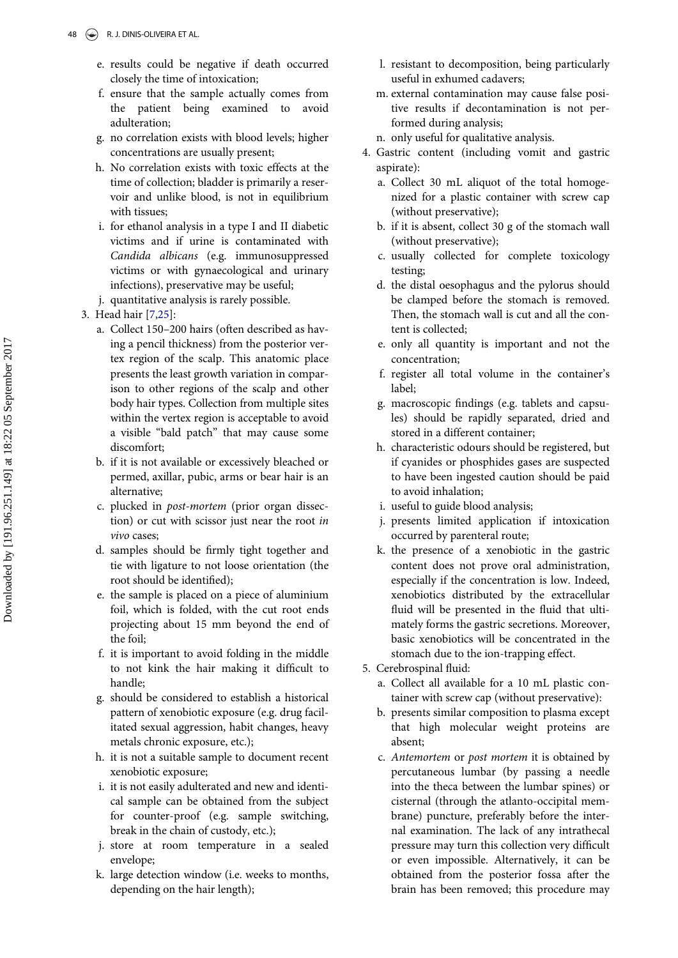- e. results could be negative if death occurred closely the time of intoxication;
- f. ensure that the sample actually comes from the patient being examined to avoid adulteration;
- g. no correlation exists with blood levels; higher concentrations are usually present;
- h. No correlation exists with toxic effects at the time of collection; bladder is primarily a reservoir and unlike blood, is not in equilibrium with tissues;
- i. for ethanol analysis in a type I and II diabetic victims and if urine is contaminated with Candida albicans (e.g. immunosuppressed victims or with gynaecological and urinary infections), preservative may be useful;
- j. quantitative analysis is rarely possible.
- <span id="page-7-0"></span>3. Head hair [\[7](#page-9-9),[25\]](#page-10-8):
	- a. Collect 150–200 hairs (often described as having a pencil thickness) from the posterior vertex region of the scalp. This anatomic place presents the least growth variation in comparison to other regions of the scalp and other body hair types. Collection from multiple sites within the vertex region is acceptable to avoid a visible "bald patch" that may cause some discomfort;
	- b. if it is not available or excessively bleached or permed, axillar, pubic, arms or bear hair is an alternative;
	- c. plucked in post-mortem (prior organ dissection) or cut with scissor just near the root in vivo cases;
	- d. samples should be firmly tight together and tie with ligature to not loose orientation (the root should be identified);
	- e. the sample is placed on a piece of aluminium foil, which is folded, with the cut root ends projecting about 15 mm beyond the end of the foil;
	- f. it is important to avoid folding in the middle to not kink the hair making it difficult to handle;
	- g. should be considered to establish a historical pattern of xenobiotic exposure (e.g. drug facilitated sexual aggression, habit changes, heavy metals chronic exposure, etc.);
	- h. it is not a suitable sample to document recent xenobiotic exposure;
	- i. it is not easily adulterated and new and identical sample can be obtained from the subject for counter-proof (e.g. sample switching, break in the chain of custody, etc.);
	- j. store at room temperature in a sealed envelope;
	- k. large detection window (i.e. weeks to months, depending on the hair length);
- l. resistant to decomposition, being particularly useful in exhumed cadavers;
- m. external contamination may cause false positive results if decontamination is not performed during analysis;
- n. only useful for qualitative analysis.
- 4. Gastric content (including vomit and gastric aspirate):
	- a. Collect 30 mL aliquot of the total homogenized for a plastic container with screw cap (without preservative);
	- b. if it is absent, collect 30 g of the stomach wall (without preservative);
	- c. usually collected for complete toxicology testing;
	- d. the distal oesophagus and the pylorus should be clamped before the stomach is removed. Then, the stomach wall is cut and all the content is collected;
	- e. only all quantity is important and not the concentration;
	- f. register all total volume in the container's label;
	- g. macroscopic findings (e.g. tablets and capsules) should be rapidly separated, dried and stored in a different container;
	- h. characteristic odours should be registered, but if cyanides or phosphides gases are suspected to have been ingested caution should be paid to avoid inhalation;
	- i. useful to guide blood analysis;
	- j. presents limited application if intoxication occurred by parenteral route;
	- k. the presence of a xenobiotic in the gastric content does not prove oral administration, especially if the concentration is low. Indeed, xenobiotics distributed by the extracellular fluid will be presented in the fluid that ultimately forms the gastric secretions. Moreover, basic xenobiotics will be concentrated in the stomach due to the ion-trapping effect.
- 5. Cerebrospinal fluid:
	- a. Collect all available for a 10 mL plastic container with screw cap (without preservative):
	- b. presents similar composition to plasma except that high molecular weight proteins are absent;
	- c. Antemortem or post mortem it is obtained by percutaneous lumbar (by passing a needle into the theca between the lumbar spines) or cisternal (through the atlanto-occipital membrane) puncture, preferably before the internal examination. The lack of any intrathecal pressure may turn this collection very difficult or even impossible. Alternatively, it can be obtained from the posterior fossa after the brain has been removed; this procedure may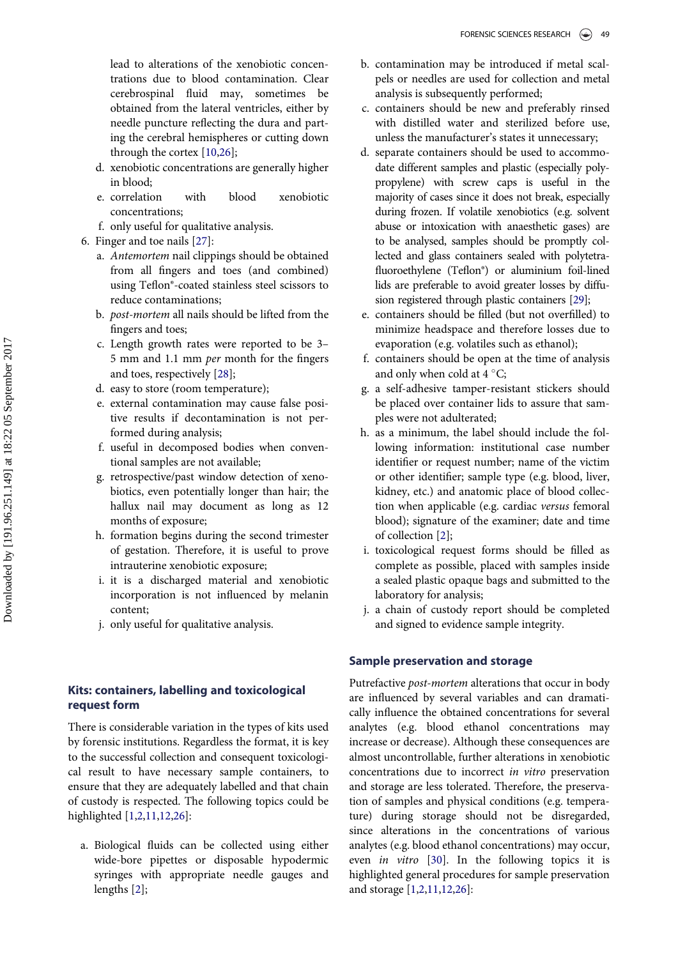lead to alterations of the xenobiotic concentrations due to blood contamination. Clear cerebrospinal fluid may, sometimes be obtained from the lateral ventricles, either by needle puncture reflecting the dura and parting the cerebral hemispheres or cutting down through the cortex [\[10](#page-9-8),[26\]](#page-10-9);

- d. xenobiotic concentrations are generally higher in blood;
- e. correlation with blood xenobiotic concentrations;
- f. only useful for qualitative analysis.
- <span id="page-8-3"></span><span id="page-8-2"></span><span id="page-8-1"></span>6. Finger and toe nails [[27\]](#page-10-10):
	- a. Antemortem nail clippings should be obtained from all fingers and toes (and combined) using Teflon®-coated stainless steel scissors to reduce contaminations;
	- b. post-mortem all nails should be lifted from the fingers and toes;
	- c. Length growth rates were reported to be 3– 5 mm and 1.1 mm per month for the fingers and toes, respectively [[28\]](#page-10-11);
	- d. easy to store (room temperature);
	- e. external contamination may cause false positive results if decontamination is not performed during analysis;
	- f. useful in decomposed bodies when conventional samples are not available;
	- g. retrospective/past window detection of xenobiotics, even potentially longer than hair; the hallux nail may document as long as 12 months of exposure;
	- h. formation begins during the second trimester of gestation. Therefore, it is useful to prove intrauterine xenobiotic exposure;
	- i. it is a discharged material and xenobiotic incorporation is not influenced by melanin content;
	- j. only useful for qualitative analysis.

# Kits: containers, labelling and toxicological request form

There is considerable variation in the types of kits used by forensic institutions. Regardless the format, it is key to the successful collection and consequent toxicological result to have necessary sample containers, to ensure that they are adequately labelled and that chain of custody is respected. The following topics could be highlighted [\[1](#page-9-0)[,2](#page-9-1),[11,](#page-9-6)[12](#page-9-10)[,26](#page-10-9)]:

<span id="page-8-4"></span><span id="page-8-0"></span>a. Biological fluids can be collected using either wide-bore pipettes or disposable hypodermic syringes with appropriate needle gauges and lengths [[2\]](#page-9-1);

- b. contamination may be introduced if metal scalpels or needles are used for collection and metal analysis is subsequently performed;
- c. containers should be new and preferably rinsed with distilled water and sterilized before use, unless the manufacturer's states it unnecessary;
- d. separate containers should be used to accommodate different samples and plastic (especially polypropylene) with screw caps is useful in the majority of cases since it does not break, especially during frozen. If volatile xenobiotics (e.g. solvent abuse or intoxication with anaesthetic gases) are to be analysed, samples should be promptly collected and glass containers sealed with polytetrafluoroethylene (Teflon®) or aluminium foil-lined lids are preferable to avoid greater losses by diffusion registered through plastic containers [\[29\]](#page-10-12);
- e. containers should be filled (but not overfilled) to minimize headspace and therefore losses due to evaporation (e.g. volatiles such as ethanol);
- f. containers should be open at the time of analysis and only when cold at  $4^{\circ}$ C;
- g. a self-adhesive tamper-resistant stickers should be placed over container lids to assure that samples were not adulterated;
- h. as a minimum, the label should include the following information: institutional case number identifier or request number; name of the victim or other identifier; sample type (e.g. blood, liver, kidney, etc.) and anatomic place of blood collection when applicable (e.g. cardiac versus femoral blood); signature of the examiner; date and time of collection [[2\]](#page-9-1);
- i. toxicological request forms should be filled as complete as possible, placed with samples inside a sealed plastic opaque bags and submitted to the laboratory for analysis;
- j. a chain of custody report should be completed and signed to evidence sample integrity.

# Sample preservation and storage

Putrefactive post-mortem alterations that occur in body are influenced by several variables and can dramatically influence the obtained concentrations for several analytes (e.g. blood ethanol concentrations may increase or decrease). Although these consequences are almost uncontrollable, further alterations in xenobiotic concentrations due to incorrect in vitro preservation and storage are less tolerated. Therefore, the preservation of samples and physical conditions (e.g. temperature) during storage should not be disregarded, since alterations in the concentrations of various analytes (e.g. blood ethanol concentrations) may occur, even in vitro [\[30](#page-10-13)]. In the following topics it is highlighted general procedures for sample preservation and storage [[1,](#page-9-0)[2](#page-9-1)[,11](#page-9-6)[,12](#page-9-10),[26\]](#page-10-9):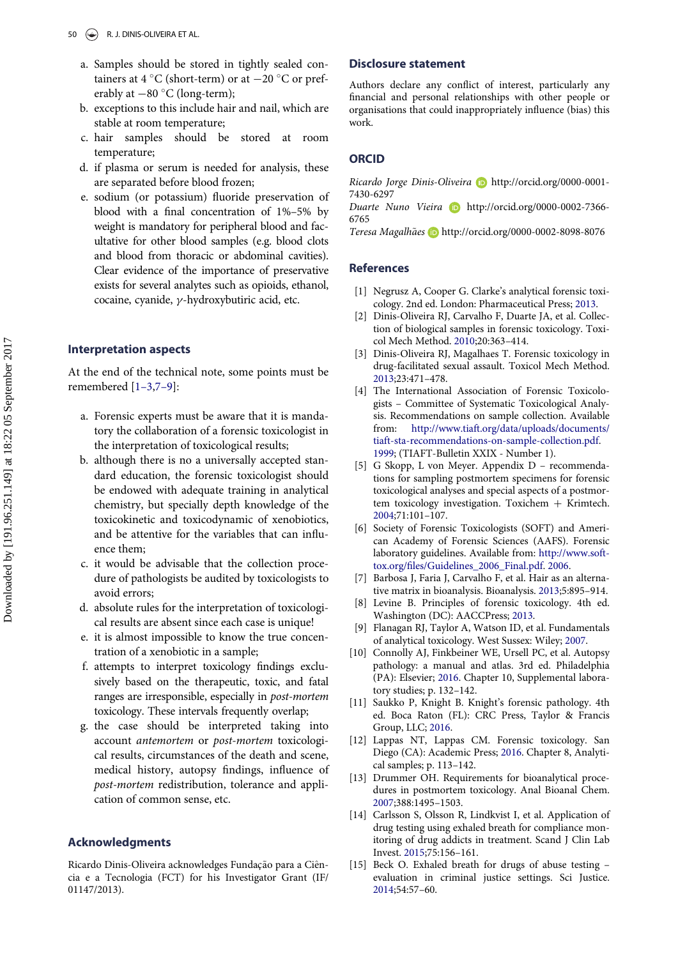- a. Samples should be stored in tightly sealed containers at 4 °C (short-term) or at  $-20$  °C or preferably at  $-80$  °C (long-term);
- b. exceptions to this include hair and nail, which are stable at room temperature;
- c. hair samples should be stored at room temperature;
- d. if plasma or serum is needed for analysis, these are separated before blood frozen;
- e. sodium (or potassium) fluoride preservation of blood with a final concentration of 1%–5% by weight is mandatory for peripheral blood and facultative for other blood samples (e.g. blood clots and blood from thoracic or abdominal cavities). Clear evidence of the importance of preservative exists for several analytes such as opioids, ethanol, cocaine, cyanide,  $\gamma$ -hydroxybutiric acid, etc.

#### <span id="page-9-2"></span><span id="page-9-1"></span><span id="page-9-0"></span>Interpretation aspects

<span id="page-9-3"></span>At the end of the technical note, some points must be remembered [1–[3,](#page-9-0)7–[9\]](#page-9-9):

- a. Forensic experts must be aware that it is mandatory the collaboration of a forensic toxicologist in the interpretation of toxicological results;
- <span id="page-9-4"></span>b. although there is no a universally accepted standard education, the forensic toxicologist should be endowed with adequate training in analytical chemistry, but specially depth knowledge of the toxicokinetic and toxicodynamic of xenobiotics, and be attentive for the variables that can influence them;
- <span id="page-9-9"></span><span id="page-9-5"></span>c. it would be advisable that the collection procedure of pathologists be audited by toxicologists to avoid errors;
- d. absolute rules for the interpretation of toxicological results are absent since each case is unique!
- <span id="page-9-8"></span>e. it is almost impossible to know the true concentration of a xenobiotic in a sample;
- f. attempts to interpret toxicology findings exclusively based on the therapeutic, toxic, and fatal ranges are irresponsible, especially in post-mortem toxicology. These intervals frequently overlap;
- <span id="page-9-10"></span><span id="page-9-6"></span>g. the case should be interpreted taking into account antemortem or post-mortem toxicological results, circumstances of the death and scene, medical history, autopsy findings, influence of post-mortem redistribution, tolerance and application of common sense, etc.

#### <span id="page-9-7"></span>Acknowledgments

Ricardo Dinis-Oliveira acknowledges Fundação para a Ciência e a Tecnologia (FCT) for his Investigator Grant (IF/ 01147/2013).

## Disclosure statement

Authors declare any conflict of interest, particularly any financial and personal relationships with other people or organisations that could inappropriately influence (bias) this work.

#### **ORCID**

Ricardo Jorge Dinis-Oliveira **b** [http://orcid.org/0000-0001-](http://orcid.org/0000-0001-7430-6297) [7430-6297](http://orcid.org/0000-0001-7430-6297)

Duarte Nuno Vieira **[http://orcid.org/0000-0002-7366-](http://orcid.org/0000-0002-7366-6765)** [6765](http://orcid.org/0000-0002-7366-6765)

Teresa Magalhães **<http://orcid.org/0000-0002-8098-8076>** 

## References

- [1] Negrusz A, Cooper G. Clarke's analytical forensic toxicology. 2nd ed. London: Pharmaceutical Press; [2013](#page-1-3).
- [2] Dinis-Oliveira RJ, Carvalho F, Duarte JA, et al. Collection of biological samples in forensic toxicology. Toxicol Mech Method. [2010](#page-1-4);20:363–414.
- [3] Dinis-Oliveira RJ, Magalhaes T. Forensic toxicology in drug-facilitated sexual assault. Toxicol Mech Method. [2013;](#page-1-4)23:471–478.
- [4] The International Association of Forensic Toxicologists – Committee of Systematic Toxicological Analysis. Recommendations on sample collection. Available from: [http://www.tiaft.org/data/uploads/documents/](http://www.tiaft.org/data/uploads/documents/tiaft-sta-recommendations-on-sample-collection.pdf) [tiaft-sta-recommendations-on-sample-collection.pdf.](http://www.tiaft.org/data/uploads/documents/tiaft-sta-recommendations-on-sample-collection.pdf) [1999;](#page-2-0) (TIAFT-Bulletin XXIX - Number 1).
- [5] G Skopp, L von Meyer. Appendix D recommendations for sampling postmortem specimens for forensic toxicological analyses and special aspects of a postmortem toxicology investigation. Toxichem  $+$  Krimtech. [2004;](#page-2-1)71:101–107.
- [6] Society of Forensic Toxicologists (SOFT) and American Academy of Forensic Sciences (AAFS). Forensic laboratory guidelines. Available from: [http://www.soft](http://www.soft-tox.org/files/Guidelines_2006_Final.pdf)tox.org/fi[les/Guidelines\\_2006\\_Final.pdf.](http://www.soft-tox.org/files/Guidelines_2006_Final.pdf) [2006](#page-2-2).
- [7] Barbosa J, Faria J, Carvalho F, et al. Hair as an alternative matrix in bioanalysis. Bioanalysis. [2013](#page-7-0);5:895–914.
- [8] Levine B. Principles of forensic toxicology. 4th ed. Washington (DC): AACCPress; 2013.
- [9] Flanagan RJ, Taylor A, Watson ID, et al. Fundamentals of analytical toxicology. West Sussex: Wiley; 2007.
- [10] Connolly AJ, Finkbeiner WE, Ursell PC, et al. Autopsy pathology: a manual and atlas. 3rd ed. Philadelphia (PA): Elsevier; [2016.](#page-6-0) Chapter 10, Supplemental laboratory studies; p. 132–142.
- [11] Saukko P, Knight B. Knight's forensic pathology. 4th ed. Boca Raton (FL): CRC Press, Taylor & Francis Group, LLC; [2016](#page-2-3).
- [12] Lappas NT, Lappas CM. Forensic toxicology. San Diego (CA): Academic Press; [2016](#page-8-0). Chapter 8, Analytical samples; p. 113–142.
- [13] Drummer OH. Requirements for bioanalytical procedures in postmortem toxicology. Anal Bioanal Chem. 2007;388:1495–1503.
- [14] Carlsson S, Olsson R, Lindkvist I, et al. Application of drug testing using exhaled breath for compliance monitoring of drug addicts in treatment. Scand J Clin Lab Invest. [2015;](#page-2-4)75:156–161.
- [15] Beck O. Exhaled breath for drugs of abuse testing evaluation in criminal justice settings. Sci Justice. 2014;54:57–60.